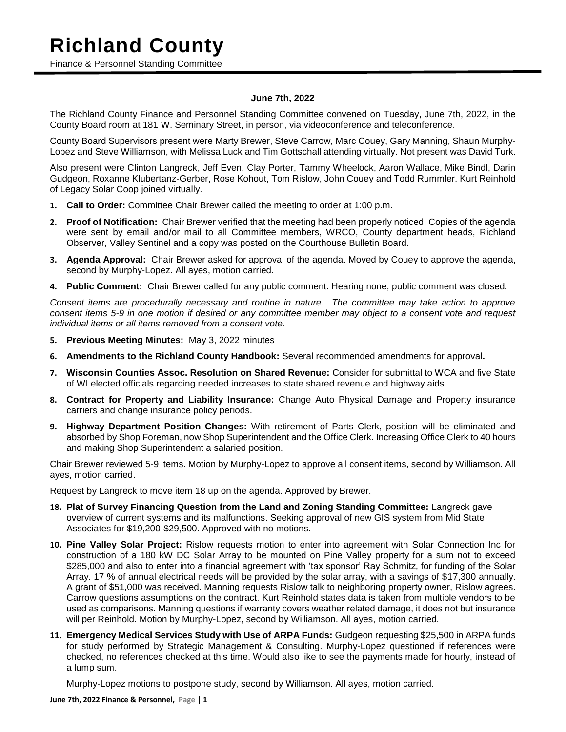### **Richland County**

Finance & Personnel Standing Committee

### **June 7th, 2022**

The Richland County Finance and Personnel Standing Committee convened on Tuesday, June 7th, 2022, in the County Board room at 181 W. Seminary Street, in person, via videoconference and teleconference.

County Board Supervisors present were Marty Brewer, Steve Carrow, Marc Couey, Gary Manning, Shaun Murphy-Lopez and Steve Williamson, with Melissa Luck and Tim Gottschall attending virtually. Not present was David Turk.

Also present were Clinton Langreck, Jeff Even, Clay Porter, Tammy Wheelock, Aaron Wallace, Mike Bindl, Darin Gudgeon, Roxanne Klubertanz-Gerber, Rose Kohout, Tom Rislow, John Couey and Todd Rummler. Kurt Reinhold of Legacy Solar Coop joined virtually.

- **1. Call to Order:** Committee Chair Brewer called the meeting to order at 1:00 p.m.
- **2. Proof of Notification:** Chair Brewer verified that the meeting had been properly noticed. Copies of the agenda were sent by email and/or mail to all Committee members, WRCO, County department heads, Richland Observer, Valley Sentinel and a copy was posted on the Courthouse Bulletin Board.
- **3. Agenda Approval:** Chair Brewer asked for approval of the agenda. Moved by Couey to approve the agenda, second by Murphy-Lopez. All ayes, motion carried.
- **4. Public Comment:** Chair Brewer called for any public comment. Hearing none, public comment was closed.

*Consent items are procedurally necessary and routine in nature. The committee may take action to approve consent items 5-9 in one motion if desired or any committee member may object to a consent vote and request individual items or all items removed from a consent vote.*

- **5. Previous Meeting Minutes:** May 3, 2022 minutes
- **6. Amendments to the Richland County Handbook:** Several recommended amendments for approval**.**
- **7. Wisconsin Counties Assoc. Resolution on Shared Revenue:** Consider for submittal to WCA and five State of WI elected officials regarding needed increases to state shared revenue and highway aids.
- **8. Contract for Property and Liability Insurance:** Change Auto Physical Damage and Property insurance carriers and change insurance policy periods.
- **9. Highway Department Position Changes:** With retirement of Parts Clerk, position will be eliminated and absorbed by Shop Foreman, now Shop Superintendent and the Office Clerk. Increasing Office Clerk to 40 hours and making Shop Superintendent a salaried position.

Chair Brewer reviewed 5-9 items. Motion by Murphy-Lopez to approve all consent items, second by Williamson. All ayes, motion carried.

Request by Langreck to move item 18 up on the agenda. Approved by Brewer.

- **18. Plat of Survey Financing Question from the Land and Zoning Standing Committee:** Langreck gave overview of current systems and its malfunctions. Seeking approval of new GIS system from Mid State Associates for \$19,200-\$29,500. Approved with no motions.
- **10. Pine Valley Solar Project:** Rislow requests motion to enter into agreement with Solar Connection Inc for construction of a 180 kW DC Solar Array to be mounted on Pine Valley property for a sum not to exceed \$285,000 and also to enter into a financial agreement with 'tax sponsor' Ray Schmitz, for funding of the Solar Array. 17 % of annual electrical needs will be provided by the solar array, with a savings of \$17,300 annually. A grant of \$51,000 was received. Manning requests Rislow talk to neighboring property owner, Rislow agrees. Carrow questions assumptions on the contract. Kurt Reinhold states data is taken from multiple vendors to be used as comparisons. Manning questions if warranty covers weather related damage, it does not but insurance will per Reinhold. Motion by Murphy-Lopez, second by Williamson. All ayes, motion carried.
- **11. Emergency Medical Services Study with Use of ARPA Funds:** Gudgeon requesting \$25,500 in ARPA funds for study performed by Strategic Management & Consulting. Murphy-Lopez questioned if references were checked, no references checked at this time. Would also like to see the payments made for hourly, instead of a lump sum.

Murphy-Lopez motions to postpone study, second by Williamson. All ayes, motion carried.

#### **June 7th, 2022 Finance & Personnel, Page | 1**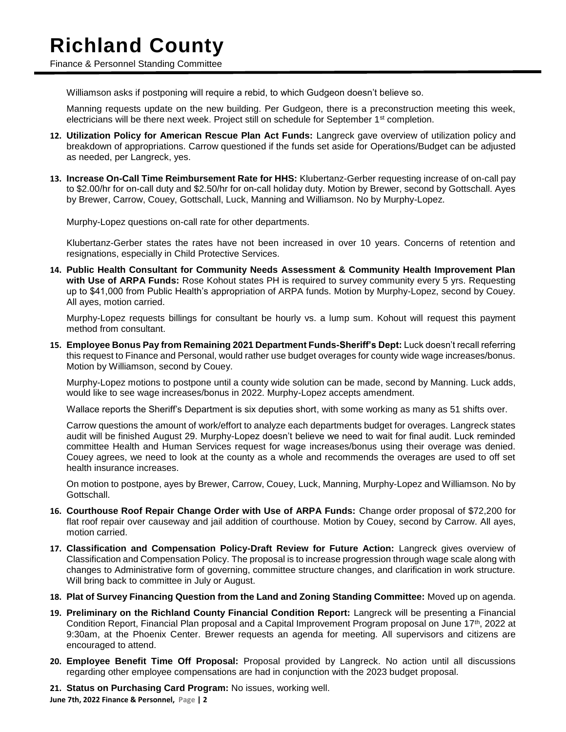# **Richland County**

Finance & Personnel Standing Committee

Williamson asks if postponing will require a rebid, to which Gudgeon doesn't believe so.

Manning requests update on the new building. Per Gudgeon, there is a preconstruction meeting this week, electricians will be there next week. Project still on schedule for September 1st completion.

- **12. Utilization Policy for American Rescue Plan Act Funds:** Langreck gave overview of utilization policy and breakdown of appropriations. Carrow questioned if the funds set aside for Operations/Budget can be adjusted as needed, per Langreck, yes.
- **13. Increase On-Call Time Reimbursement Rate for HHS:** Klubertanz-Gerber requesting increase of on-call pay to \$2.00/hr for on-call duty and \$2.50/hr for on-call holiday duty. Motion by Brewer, second by Gottschall. Ayes by Brewer, Carrow, Couey, Gottschall, Luck, Manning and Williamson. No by Murphy-Lopez.

Murphy-Lopez questions on-call rate for other departments.

Klubertanz-Gerber states the rates have not been increased in over 10 years. Concerns of retention and resignations, especially in Child Protective Services.

**14. Public Health Consultant for Community Needs Assessment & Community Health Improvement Plan with Use of ARPA Funds:** Rose Kohout states PH is required to survey community every 5 yrs. Requesting up to \$41,000 from Public Health's appropriation of ARPA funds. Motion by Murphy-Lopez, second by Couey. All ayes, motion carried.

Murphy-Lopez requests billings for consultant be hourly vs. a lump sum. Kohout will request this payment method from consultant.

**15. Employee Bonus Pay from Remaining 2021 Department Funds-Sheriff's Dept:** Luck doesn't recall referring this request to Finance and Personal, would rather use budget overages for county wide wage increases/bonus. Motion by Williamson, second by Couey.

Murphy-Lopez motions to postpone until a county wide solution can be made, second by Manning. Luck adds, would like to see wage increases/bonus in 2022. Murphy-Lopez accepts amendment.

Wallace reports the Sheriff's Department is six deputies short, with some working as many as 51 shifts over.

Carrow questions the amount of work/effort to analyze each departments budget for overages. Langreck states audit will be finished August 29. Murphy-Lopez doesn't believe we need to wait for final audit. Luck reminded committee Health and Human Services request for wage increases/bonus using their overage was denied. Couey agrees, we need to look at the county as a whole and recommends the overages are used to off set health insurance increases.

On motion to postpone, ayes by Brewer, Carrow, Couey, Luck, Manning, Murphy-Lopez and Williamson. No by Gottschall.

- **16. Courthouse Roof Repair Change Order with Use of ARPA Funds:** Change order proposal of \$72,200 for flat roof repair over causeway and jail addition of courthouse. Motion by Couey, second by Carrow. All ayes, motion carried.
- **17. Classification and Compensation Policy-Draft Review for Future Action:** Langreck gives overview of Classification and Compensation Policy. The proposal is to increase progression through wage scale along with changes to Administrative form of governing, committee structure changes, and clarification in work structure. Will bring back to committee in July or August.
- **18. Plat of Survey Financing Question from the Land and Zoning Standing Committee:** Moved up on agenda.
- **19. Preliminary on the Richland County Financial Condition Report:** Langreck will be presenting a Financial Condition Report, Financial Plan proposal and a Capital Improvement Program proposal on June 17<sup>th</sup>, 2022 at 9:30am, at the Phoenix Center. Brewer requests an agenda for meeting. All supervisors and citizens are encouraged to attend.
- **20. Employee Benefit Time Off Proposal:** Proposal provided by Langreck. No action until all discussions regarding other employee compensations are had in conjunction with the 2023 budget proposal.

**21. Status on Purchasing Card Program:** No issues, working well.

**June 7th, 2022 Finance & Personnel, Page | 2**